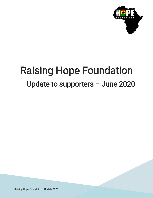

# Raising Hope Foundation Update to supporters – June 2020

Raising Hope Foundation | Update 2020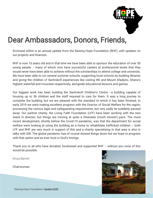

### Dear Ambassadors, Donors, Friends,

Enclosed within is an annual update from the Raising Hope Foundation (RHF), with updates on our projects and finances.

RHF is now 10 years old and in that time we have been able to sponsor the education of over 50 young people - many of whom now have successful careers at professional levels that they would never have been able to achieve without the scholarships to attend college and university. We have been able to run several summer schools, supporting local schools by building libraries and giving the children of Santrokofi experiences like visiting Wli and Mount Afadjoto, Ghana's highest waterfall and mountain respectively, alongside educational lessons and games.

Our biggest work has been building the Santrokofi Children's Centre –a building capable of housing up to 36 children and the staff required to care for them. It was a long journey to complete the building, but we are pleased with the standard to which it has been finished. In early 2019 we were making excellent progress with the Director of Social Welfare for the region, processing the various legal and safeguarding requirements, but very sadly he suddenly passed away. Our partner charity, the Living Faith Foundation (LFF) have been working with the new stand in director, but things are moving at quite a Ghanaian (much slower!) pace. The most recent development, shortly before the Covid-19 pandemic, was that the department for social welfare were looking at using the building as a home to rehabilitate trafficked children – both LFF and RHF are very much in support of this and a charity specialising In that area is also in talks with SW. The global pandemic has of course slowed things down but we hope to progress with that option and as ever trust in God's timings.

Thank you to all who have donated, fundraised and supported RHF – without you none of this would be possible.

*Kinza Barrett*

Chairwoman

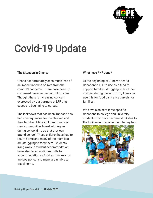

# Covid-19 Update

#### The Situation in Ghana:

Ghana has fortunately seen much less of an impact in terms of lives from the covid-19 pandemic. There have been no confirmed cases in the Santrokofi area. Thought there is increasing concern expressed by our partners at LFF that cases are beginning to spread.

The lockdown that has been imposed has had consequences for the children and their families. Many children from poor rural communities board with Agnes during school time so that they can attend school. These children have had to return home and many of their families are struggling to feed them. Students living away in student accommodation have also faced additional bills for accommodation as food as final exams are postponed and many are unable to travel home.

#### What have RHF done?

At the beginning of June we sent a donation to LFF to use as a fund to support families struggling to feed their children during the lockdown, Agnes will use this for food bank style parcels for families.

We have also sent three specific donations to college and university students who have become stuck due to the lockdown to enable them to buy food.

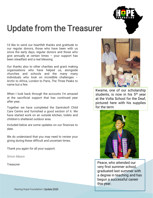

# Update from the Treasurer

I'd like to send our heartfelt thanks and gratitude to our regular donors, those who have been with us since the early days, regular donors and those who give annually at certain times – your support has been steadfast and a real blessing.

Our thanks also to other charities and grant making organisations who have helped us, alongside churches and schools and the many many individuals who took on incredible challenges – Arctic to Africa, London to Paris, The Three Peaks to name but a few.

When I look back through the accounts I'm amazed at the sacrificial support that has continued year after year.

Together we have completed the Santrokofi Child Care Centre and furnished a good section of it. We have started work on an outside kitchen, toilets and children's sheltered outdoor area.

Included below are some updates on our finances to date.

We do understand that you may need to review your giving during these difficult and uncertain times.

Thank you again for all your support.

*Simon Mason*

**Treasurer** 



Kwame, one of our scholarship students, is now in his 5<sup>th</sup> year at the Volta School for the Deaf, pictured here with his supplies for the term



Peace, who attended our very first summer school, graduated last summer with a degree in teaching and has begun a successful career this year.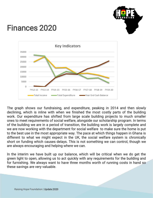

## Finances 2020



. of the building we are in a period of transition, the building work is largely complete and The graph shows our fundraising, and expenditure, peaking in 2014 and then slowly declining, which is inline with when we finished the most costly parts of the building work. Our expenditure has shifted from large scale building projects to much smaller ones to meet requirements of social welfare, alongside our scholarship program. In terms we are now working with the department for social welfare to make sure the home is put to the best use in the most appropriate way. The pace at which things happen in Ghana is different to what we might expect in the UK, the social welfare system is chronically short on funding which causes delays. This is not something we can control, though we are always encouraging and helping where we can.

In the interim we have built up our balance, which will be critical when we do get the green light to open, allowing us to act quickly with any requirements for the building and for furnishing. We always want to have three months worth of running costs in hand so these savings are very valuable.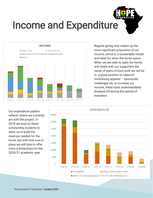



Regular giving now makes up the most significant proportion of our income, which is a sustainable model and ideal for when the home opens. When we are able to open the home, and share with our supporters the result of years of hard work we will be in a good position to relaunch fundraising appeals – sponsored challenges etc to increase our income, these have understandably dropped off during this period of transition.

Our expenditure pattern reflects where we currently are with the project. In 2018 we took on fewer scholarship students to allow us to build the reserves needed for the home, but with that now in place we will look to offer more scholarships for the 2020/21 academic year.